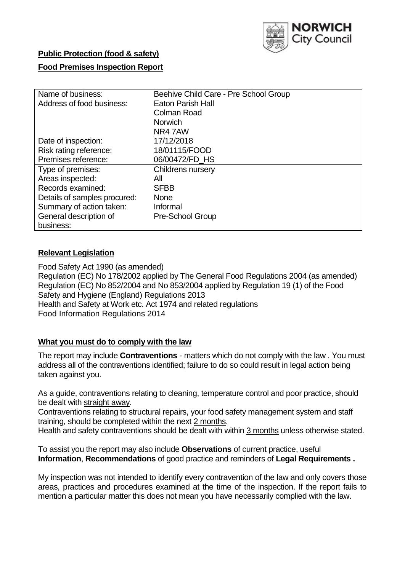

# **Public Protection (food & safety)**

### **Food Premises Inspection Report**

| Name of business:            | Beehive Child Care - Pre School Group |
|------------------------------|---------------------------------------|
| Address of food business:    | <b>Eaton Parish Hall</b>              |
|                              | <b>Colman Road</b>                    |
|                              | <b>Norwich</b>                        |
|                              | NR47AW                                |
| Date of inspection:          | 17/12/2018                            |
| Risk rating reference:       | 18/01115/FOOD                         |
| Premises reference:          | 06/00472/FD HS                        |
| Type of premises:            | <b>Childrens nursery</b>              |
| Areas inspected:             | All                                   |
| Records examined:            | <b>SFBB</b>                           |
| Details of samples procured: | <b>None</b>                           |
| Summary of action taken:     | Informal                              |
| General description of       | Pre-School Group                      |
| business:                    |                                       |

### **Relevant Legislation**

Food Safety Act 1990 (as amended) Regulation (EC) No 178/2002 applied by The General Food Regulations 2004 (as amended) Regulation (EC) No 852/2004 and No 853/2004 applied by Regulation 19 (1) of the Food Safety and Hygiene (England) Regulations 2013 Health and Safety at Work etc. Act 1974 and related regulations Food Information Regulations 2014

### **What you must do to comply with the law**

The report may include **Contraventions** - matters which do not comply with the law . You must address all of the contraventions identified; failure to do so could result in legal action being taken against you.

As a guide, contraventions relating to cleaning, temperature control and poor practice, should be dealt with straight away.

Contraventions relating to structural repairs, your food safety management system and staff training, should be completed within the next 2 months.

Health and safety contraventions should be dealt with within 3 months unless otherwise stated.

To assist you the report may also include **Observations** of current practice, useful **Information**, **Recommendations** of good practice and reminders of **Legal Requirements .**

My inspection was not intended to identify every contravention of the law and only covers those areas, practices and procedures examined at the time of the inspection. If the report fails to mention a particular matter this does not mean you have necessarily complied with the law.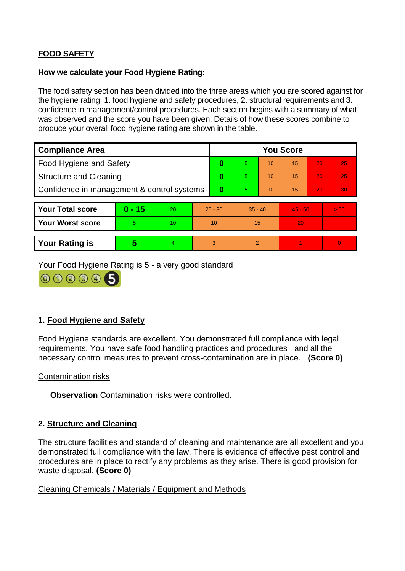## **FOOD SAFETY**

#### **How we calculate your Food Hygiene Rating:**

The food safety section has been divided into the three areas which you are scored against for the hygiene rating: 1. food hygiene and safety procedures, 2. structural requirements and 3. confidence in management/control procedures. Each section begins with a summary of what was observed and the score you have been given. Details of how these scores combine to produce your overall food hygiene rating are shown in the table.

| <b>Compliance Area</b>                     |          |                  |           | <b>You Score</b> |                |    |           |    |                |  |  |
|--------------------------------------------|----------|------------------|-----------|------------------|----------------|----|-----------|----|----------------|--|--|
| Food Hygiene and Safety                    |          |                  |           | 0                | 5              | 10 | 15        | 20 | 25             |  |  |
| <b>Structure and Cleaning</b>              |          |                  | $\bf{0}$  | 5                | 10             | 15 | 20        | 25 |                |  |  |
| Confidence in management & control systems |          |                  | $\bf{0}$  | 5                | 10             | 15 | 20        | 30 |                |  |  |
|                                            |          |                  |           |                  |                |    |           |    |                |  |  |
| <b>Your Total score</b>                    | $0 - 15$ | 20               | $25 - 30$ |                  | $35 - 40$      |    | $45 - 50$ |    | > 50           |  |  |
| <b>Your Worst score</b>                    | 5.       | 10 <sup>10</sup> | 10        |                  | 15             |    | 20        |    | $\blacksquare$ |  |  |
|                                            |          |                  |           |                  |                |    |           |    |                |  |  |
| <b>Your Rating is</b>                      | 5        | 4                | 3         |                  | $\overline{2}$ |    |           |    | $\Omega$       |  |  |

Your Food Hygiene Rating is 5 - a very good standard



### **1. Food Hygiene and Safety**

Food Hygiene standards are excellent. You demonstrated full compliance with legal requirements. You have safe food handling practices and procedures and all the necessary control measures to prevent cross-contamination are in place. **(Score 0)**

### Contamination risks

**Observation** Contamination risks were controlled.

### **2. Structure and Cleaning**

The structure facilities and standard of cleaning and maintenance are all excellent and you demonstrated full compliance with the law. There is evidence of effective pest control and procedures are in place to rectify any problems as they arise. There is good provision for waste disposal. **(Score 0)**

### Cleaning Chemicals / Materials / Equipment and Methods